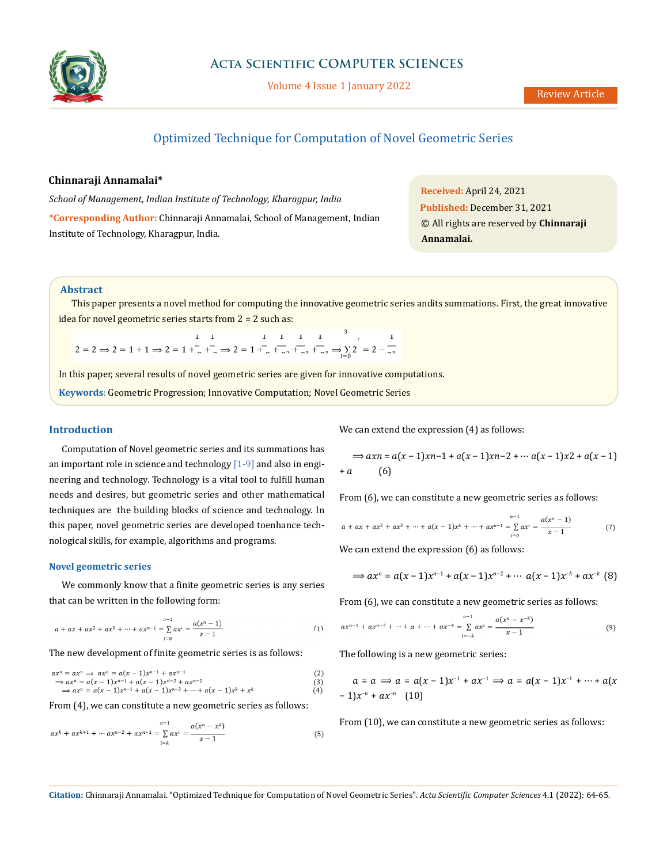

Volume 4 Issue 1 January 2022

# Optimized Technique for Computation of Novel Geometric Series

### **Chinnaraji Annamalai\***

*School of Management, Indian Institute of Technology, Kharagpur, India*  **\*Corresponding Author:** Chinnaraji Annamalai, School of Management, Indian Institute of Technology, Kharagpur, India.

**Received:** April 24, 2021 **Published:** December 31, 2021 © All rights are reserved by **Chinnaraji Annamalai.**

### **Abstract**

This paper presents a novel method for computing the innovative geometric series andits summations. First, the great innovative idea for novel geometric series starts from 2 = 2 such as:

 $2 = 2 \Rightarrow 2 = 1 + 1 \Rightarrow 2 = 1 + \frac{1}{2} + \frac{1}{2} \Rightarrow 2 = 1 + \frac{1}{2} + \frac{1}{2} + \frac{1}{2} \Rightarrow \frac{1}{2} = 1 + \frac{1}{2} + \frac{1}{2} \Rightarrow \frac{1}{2} = 2 - \frac{1}{2}$ 

In this paper, several results of novel geometric series are given for innovative computations.

**Keywords**: Geometric Progression; Innovative Computation; Novel Geometric Series

### **Introduction**

Computation of Novel geometric series and its summations has an important role in science and technology  $[1-9]$  and also in engineering and technology. Technology is a vital tool to fulfill human needs and desires, but geometric series and other mathematical techniques are the building blocks of science and technology. In this paper, novel geometric series are developed toenhance technological skills, for example, algorithms and programs.

#### **Novel geometric series**

We commonly know that a finite geometric series is any series that can be written in the following form:

$$
a + ax + ax^{2} + ax^{3} + \dots + ax^{n-1} = \sum_{i=0}^{n-1} ax^{i} = \frac{a(x^{n}-1)}{x-1}
$$
 (1)

The new development of finite geometric series is as follows:

$$
ax^{n} = ax^{n} \Rightarrow ax^{n} = a(x - 1)x^{n-1} + ax^{n-1}
$$
  
\n
$$
\Rightarrow ax^{n} = a(x - 1)x^{n-1} + a(x - 1)x^{n-2} + ax^{n-2}
$$
  
\n
$$
\Rightarrow ax^{n} = a(x - 1)x^{n-1} + a(x - 1)x^{n-2} + \dots + a(x - 1)x^{k} + x^{k}
$$
  
\n(4)

From (4), we can constitute a new geometric series as follows:

$$
ax^{k} + ax^{k+1} + \dots + ax^{n-2} + ax^{n-1} = \sum_{i=k}^{n-1} ax^{i} = \frac{a(x^{n} - x^{k})}{x - 1}
$$
(5)

We can extend the expression  $(4)$  as follows:

$$
\Rightarrow axn = a(x-1)xn-1 + a(x-1)xn-2 + \cdots a(x-1)x2 + a(x-1) + a \tag{6}
$$

From (6), we can constitute a new geometric series as follows:

$$
a + ax + ax^{2} + ax^{3} + \dots + a(x - 1)x^{k} + \dots + ax^{n-1} = \sum_{i=0}^{n-1} ax^{i} = \frac{a(x^{n} - 1)}{x - 1}
$$
(7)

We can extend the expression (6) as follows:

$$
\Rightarrow ax^n = a(x-1)x^{n-1} + a(x-1)x^{n-2} + \cdots a(x-1)x^{-k} + ax^{-k}
$$
 (8)

From (6), we can constitute a new geometric series as follows:

$$
ax^{n-1} + ax^{n-2} + \dots + a + \dots + ax^{-k} = \sum_{i=-k}^{n-1} ax^i = \frac{a(x^n - x^{-k})}{x - 1}
$$
 (9)

The following is a new geometric series:

$$
a = a \implies a = a(x - 1)x^{-1} + ax^{-1} \implies a = a(x - 1)x^{-1} + \dots + a(x - 1)x^{-n} + ax^{-n} \quad (10)
$$

From (10), we can constitute a new geometric series as follows:

**Citation:** Chinnaraji Annamalai. "Optimized Technique for Computation of Novel Geometric Series". *Acta Scientific Computer Sciences* 4.1 (2022): 64-65.